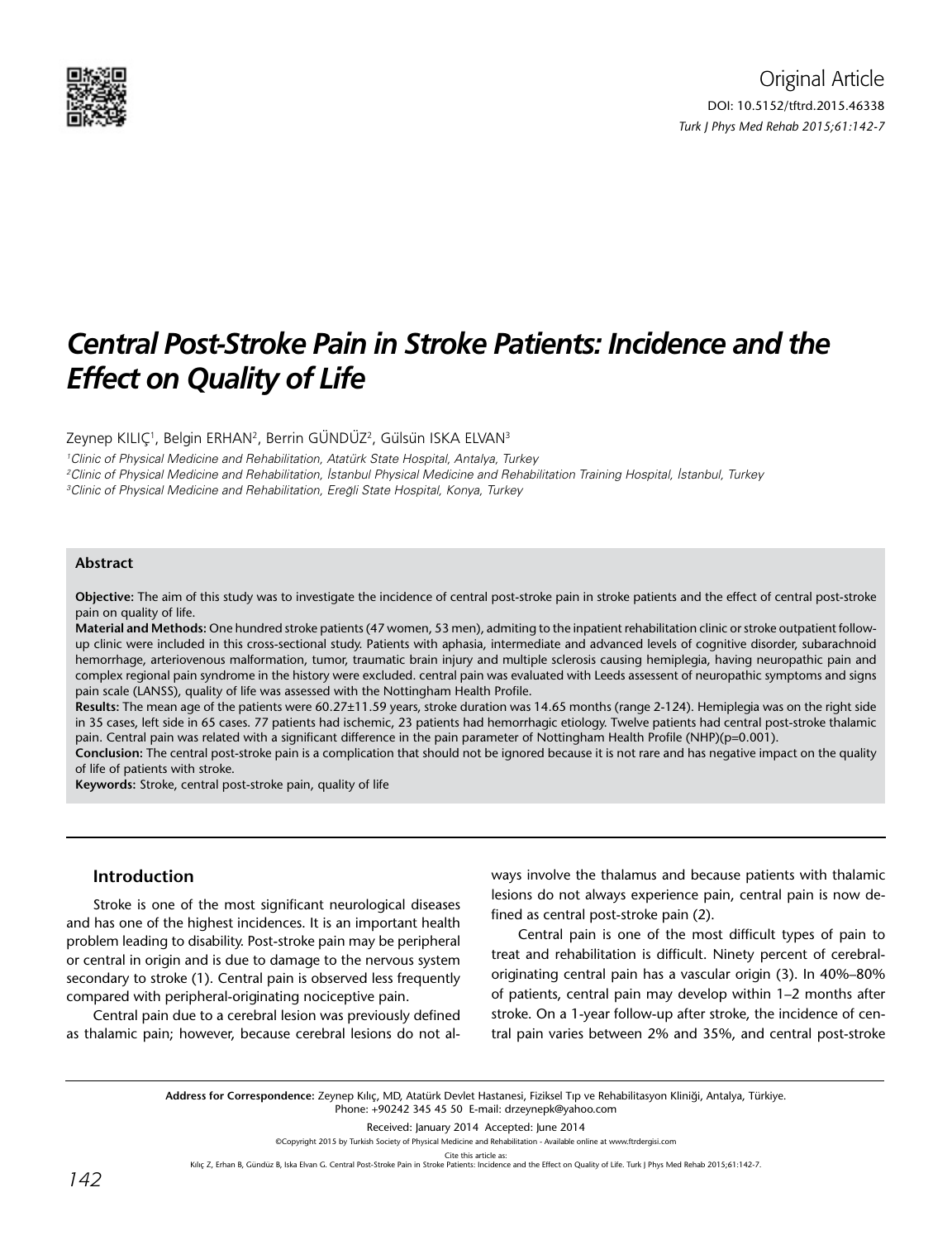

# *Central Post-Stroke Pain in Stroke Patients: Incidence and the Effect on Quality of Life*

Zeynep KILIÇ<sup>1</sup>, Belgin ERHAN<sup>2</sup>, Berrin GÜNDÜZ<sup>2</sup>, Gülsün ISKA ELVAN<sup>3</sup>

1 Clinic of Physical Medicine and Rehabilitation, Atatürk State Hospital, Antalya, Turkey 2 Clinic of Physical Medicine and Rehabilitation, İstanbul Physical Medicine and Rehabilitation Training Hospital, İstanbul, Turkey <sup>3</sup>Clinic of Physical Medicine and Rehabilitation, Ereğli State Hospital, Konya, Turkey

## **Abstract**

**Objective:** The aim of this study was to investigate the incidence of central post-stroke pain in stroke patients and the effect of central post-stroke pain on quality of life.

**Material and Methods:** One hundred stroke patients (47 women, 53 men), admiting to the inpatient rehabilitation clinic or stroke outpatient followup clinic were included in this cross-sectional study. Patients with aphasia, intermediate and advanced levels of cognitive disorder, subarachnoid hemorrhage, arteriovenous malformation, tumor, traumatic brain injury and multiple sclerosis causing hemiplegia, having neuropathic pain and complex regional pain syndrome in the history were excluded. central pain was evaluated with Leeds assessent of neuropathic symptoms and signs pain scale (LANSS), quality of life was assessed with the Nottingham Health Profile.

**Results:** The mean age of the patients were 60.27±11.59 years, stroke duration was 14.65 months (range 2-124). Hemiplegia was on the right side in 35 cases, left side in 65 cases. 77 patients had ischemic, 23 patients had hemorrhagic etiology. Twelve patients had central post-stroke thalamic pain. Central pain was related with a significant difference in the pain parameter of Nottingham Health Profile (NHP)(p=0.001).

**Conclusion:** The central post-stroke pain is a complication that should not be ignored because it is not rare and has negative impact on the quality of life of patients with stroke.

**Keywords:** Stroke, central post-stroke pain, quality of life

## **Introduction**

Stroke is one of the most significant neurological diseases and has one of the highest incidences. It is an important health problem leading to disability. Post-stroke pain may be peripheral or central in origin and is due to damage to the nervous system secondary to stroke (1). Central pain is observed less frequently compared with peripheral-originating nociceptive pain.

Central pain due to a cerebral lesion was previously defined as thalamic pain; however, because cerebral lesions do not always involve the thalamus and because patients with thalamic lesions do not always experience pain, central pain is now defined as central post-stroke pain (2).

Central pain is one of the most difficult types of pain to treat and rehabilitation is difficult. Ninety percent of cerebraloriginating central pain has a vascular origin (3). In 40%–80% of patients, central pain may develop within 1–2 months after stroke. On a 1-year follow-up after stroke, the incidence of central pain varies between 2% and 35%, and central post-stroke

**Address for Correspondence:** Zeynep Kılıç, MD, Atatürk Devlet Hastanesi, Fiziksel Tıp ve Rehabilitasyon Kliniği, Antalya, Türkiye. Phone: +90242 345 45 50 E-mail: drzeynepk@yahoo.com

Received: January 2014 Accepted: June 2014

©Copyright 2015 by Turkish Society of Physical Medicine and Rehabilitation - Available online at www.ftrdergisi.com

Cite this article as:

Kılıç Z, Erhan B, Gündüz B, Iska Elvan G. Central Post-Stroke Pain in Stroke Patients: Incidence and the Effect on Quality of Life. Turk J Phys Med Rehab 2015;61:142-7.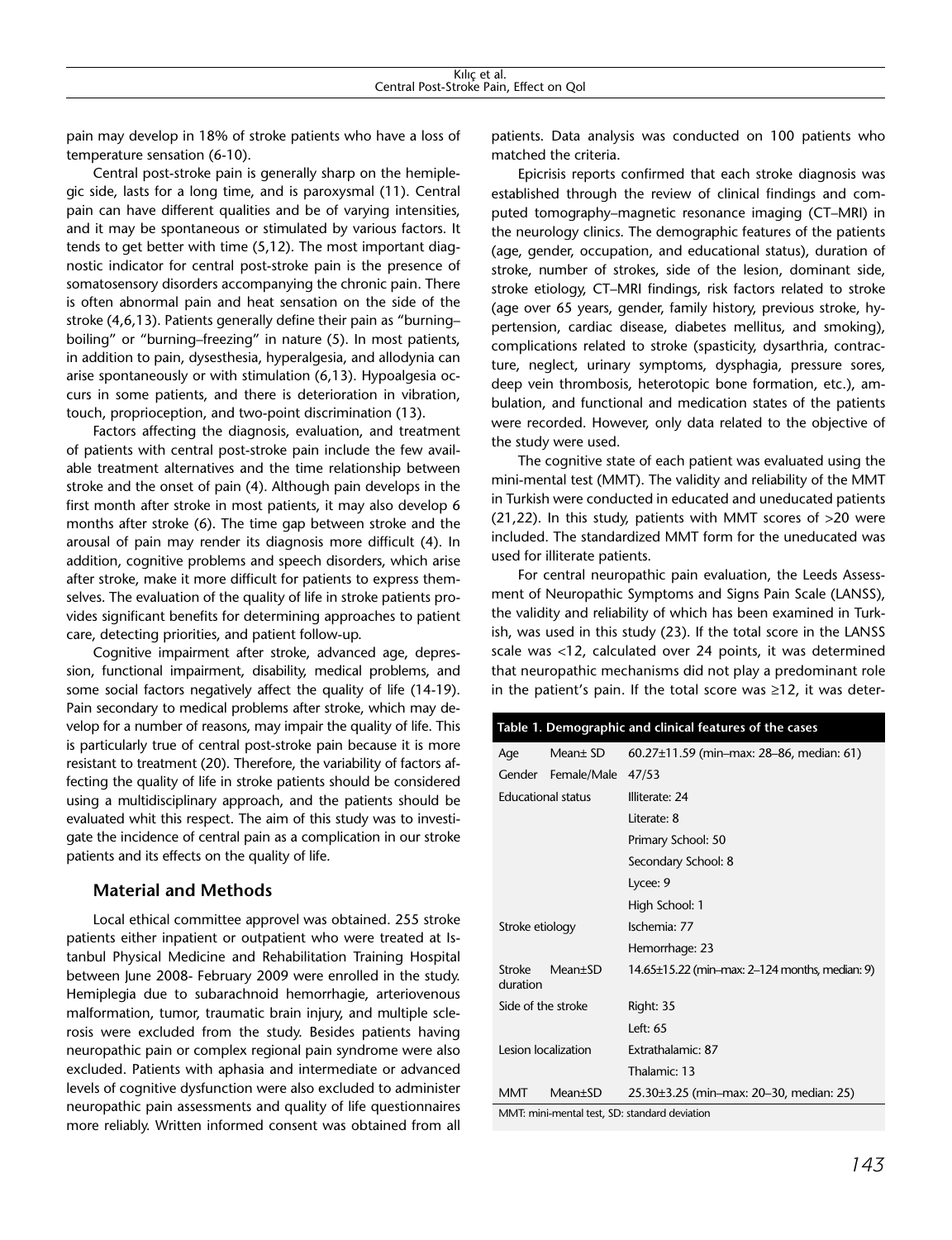pain may develop in 18% of stroke patients who have a loss of temperature sensation (6-10).

Central post-stroke pain is generally sharp on the hemiplegic side, lasts for a long time, and is paroxysmal (11). Central pain can have different qualities and be of varying intensities, and it may be spontaneous or stimulated by various factors. It tends to get better with time (5,12). The most important diagnostic indicator for central post-stroke pain is the presence of somatosensory disorders accompanying the chronic pain. There is often abnormal pain and heat sensation on the side of the stroke (4,6,13). Patients generally define their pain as "burning– boiling" or "burning–freezing" in nature (5). In most patients, in addition to pain, dysesthesia, hyperalgesia, and allodynia can arise spontaneously or with stimulation (6,13). Hypoalgesia occurs in some patients, and there is deterioration in vibration, touch, proprioception, and two-point discrimination (13).

Factors affecting the diagnosis, evaluation, and treatment of patients with central post-stroke pain include the few available treatment alternatives and the time relationship between stroke and the onset of pain (4). Although pain develops in the first month after stroke in most patients, it may also develop 6 months after stroke (6). The time gap between stroke and the arousal of pain may render its diagnosis more difficult (4). In addition, cognitive problems and speech disorders, which arise after stroke, make it more difficult for patients to express themselves. The evaluation of the quality of life in stroke patients provides significant benefits for determining approaches to patient care, detecting priorities, and patient follow-up.

Cognitive impairment after stroke, advanced age, depression, functional impairment, disability, medical problems, and some social factors negatively affect the quality of life (14-19). Pain secondary to medical problems after stroke, which may develop for a number of reasons, may impair the quality of life. This is particularly true of central post-stroke pain because it is more resistant to treatment (20). Therefore, the variability of factors affecting the quality of life in stroke patients should be considered using a multidisciplinary approach, and the patients should be evaluated whit this respect. The aim of this study was to investigate the incidence of central pain as a complication in our stroke patients and its effects on the quality of life.

## **Material and Methods**

Local ethical committee approvel was obtained. 255 stroke patients either inpatient or outpatient who were treated at Istanbul Physical Medicine and Rehabilitation Training Hospital between June 2008- February 2009 were enrolled in the study. Hemiplegia due to subarachnoid hemorrhagie, arteriovenous malformation, tumor, traumatic brain injury, and multiple sclerosis were excluded from the study. Besides patients having neuropathic pain or complex regional pain syndrome were also excluded. Patients with aphasia and intermediate or advanced levels of cognitive dysfunction were also excluded to administer neuropathic pain assessments and quality of life questionnaires more reliably. Written informed consent was obtained from all patients. Data analysis was conducted on 100 patients who matched the criteria.

Epicrisis reports confirmed that each stroke diagnosis was established through the review of clinical findings and computed tomography–magnetic resonance imaging (CT–MRI) in the neurology clinics. The demographic features of the patients (age, gender, occupation, and educational status), duration of stroke, number of strokes, side of the lesion, dominant side, stroke etiology, CT–MRI findings, risk factors related to stroke (age over 65 years, gender, family history, previous stroke, hypertension, cardiac disease, diabetes mellitus, and smoking), complications related to stroke (spasticity, dysarthria, contracture, neglect, urinary symptoms, dysphagia, pressure sores, deep vein thrombosis, heterotopic bone formation, etc.), ambulation, and functional and medication states of the patients were recorded. However, only data related to the objective of the study were used.

The cognitive state of each patient was evaluated using the mini-mental test (MMT). The validity and reliability of the MMT in Turkish were conducted in educated and uneducated patients (21,22). In this study, patients with MMT scores of >20 were included. The standardized MMT form for the uneducated was used for illiterate patients.

For central neuropathic pain evaluation, the Leeds Assessment of Neuropathic Symptoms and Signs Pain Scale (LANSS), the validity and reliability of which has been examined in Turkish, was used in this study (23). If the total score in the LANSS scale was <12, calculated over 24 points, it was determined that neuropathic mechanisms did not play a predominant role in the patient's pain. If the total score was ≥12, it was deter-

|  | Table 1. Demographic and clinical features of the cases |                     |                                                |  |  |  |  |
|--|---------------------------------------------------------|---------------------|------------------------------------------------|--|--|--|--|
|  | Age                                                     | Mean± SD            | 60.27 $\pm$ 11.59 (min–max: 28–86, median: 61) |  |  |  |  |
|  |                                                         | Gender Female/Male  | 47/53                                          |  |  |  |  |
|  | <b>Educational status</b>                               |                     | Illiterate: 24                                 |  |  |  |  |
|  |                                                         |                     | Literate: 8                                    |  |  |  |  |
|  |                                                         |                     | Primary School: 50                             |  |  |  |  |
|  |                                                         |                     | Secondary School: 8                            |  |  |  |  |
|  |                                                         |                     | Lycee: 9                                       |  |  |  |  |
|  |                                                         |                     | High School: 1                                 |  |  |  |  |
|  | Stroke etiology                                         |                     | Ischemia: 77                                   |  |  |  |  |
|  |                                                         |                     | Hemorrhage: 23                                 |  |  |  |  |
|  | <b>Stroke</b><br>duration                               | $Mean \pm SD$       | 14.65±15.22 (min-max: 2-124 months, median: 9) |  |  |  |  |
|  | Side of the stroke                                      |                     | Right: 35                                      |  |  |  |  |
|  |                                                         |                     | Left: $65$                                     |  |  |  |  |
|  | Lesion localization                                     |                     | Extrathalamic: 87                              |  |  |  |  |
|  |                                                         |                     | Thalamic: 13                                   |  |  |  |  |
|  | <b>MMT</b>                                              | Mean <sup>+SD</sup> | 25.30±3.25 (min-max: 20-30, median: 25)        |  |  |  |  |
|  | MMT: mini-mental test, SD: standard deviation           |                     |                                                |  |  |  |  |

*143*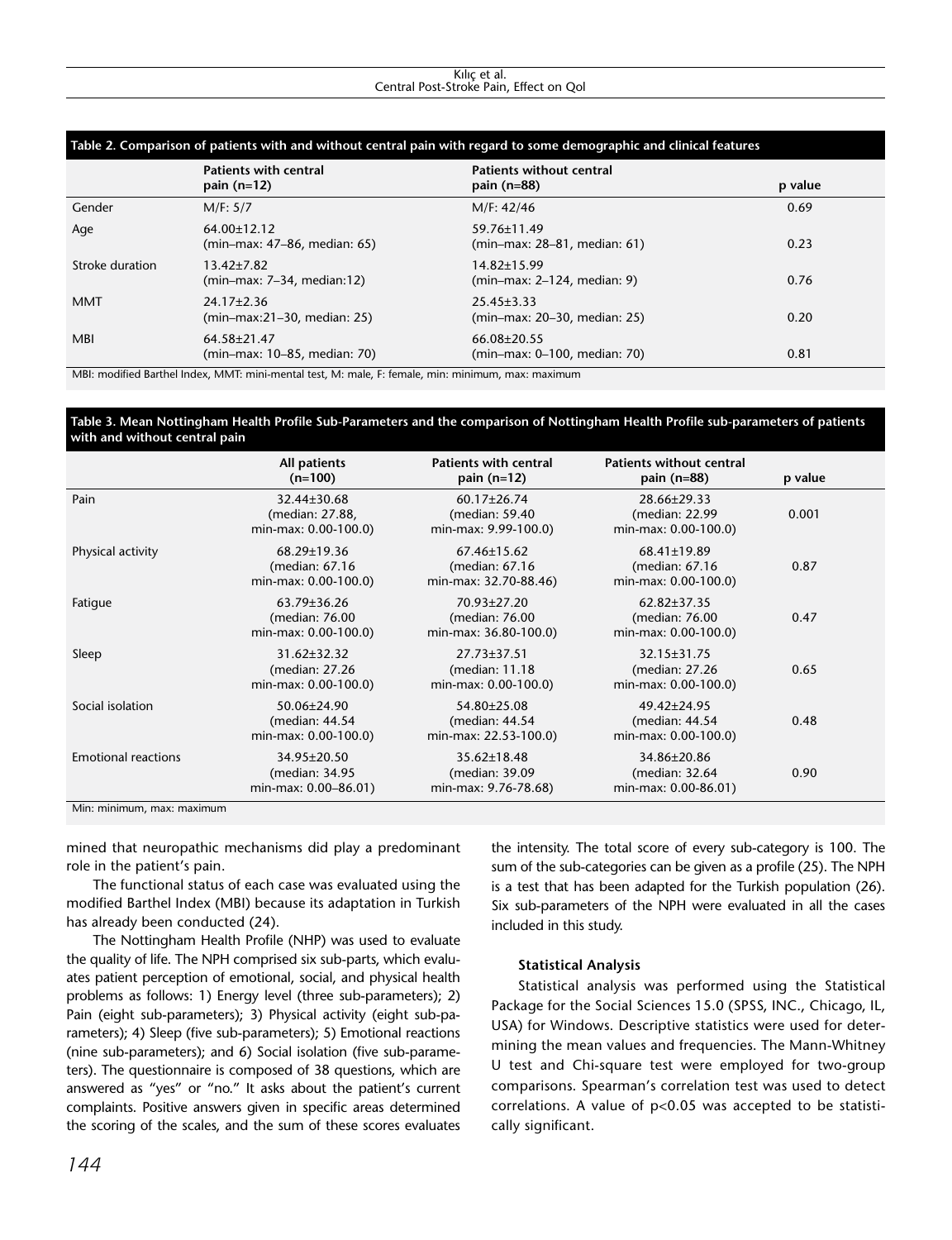#### Kılıç et al. Central Post-Stroke Pain, Effect on Qol

| Table 2. Comparison of patients with and without central pain with regard to some demographic and clinical features |                                                  |                                                   |         |  |  |  |  |  |
|---------------------------------------------------------------------------------------------------------------------|--------------------------------------------------|---------------------------------------------------|---------|--|--|--|--|--|
|                                                                                                                     | <b>Patients with central</b><br>pain $(n=12)$    | <b>Patients without central</b><br>pain $(n=88)$  | p value |  |  |  |  |  |
| Gender                                                                                                              | M/F: 5/7                                         | M/F: 42/46                                        | 0.69    |  |  |  |  |  |
| Age                                                                                                                 | $64.00\pm12.12$<br>(min-max: 47-86, median: 65)  | 59.76±11.49<br>(min-max: 28-81, median: 61)       | 0.23    |  |  |  |  |  |
| Stroke duration                                                                                                     | $13.42 \pm 7.82$<br>$(min-max: 7-34, median:12)$ | 14.82±15.99<br>(min–max: 2–124, median: 9)        | 0.76    |  |  |  |  |  |
| <b>MMT</b>                                                                                                          | $24.17 \pm 2.36$<br>(min-max:21-30, median: 25)  | $25.45 \pm 3.33$<br>(min–max: 20–30, median: 25)  | 0.20    |  |  |  |  |  |
| <b>MBI</b>                                                                                                          | 64.58±21.47<br>(min–max: 10–85, median: 70)      | $66.08 \pm 20.55$<br>(min–max: 0–100, median: 70) | 0.81    |  |  |  |  |  |

MBI: modified Barthel Index, MMT: mini-mental test, M: male, F: female, min: minimum, max: maximum

### **Table 3. Mean Nottingham Health Profile Sub-Parameters and the comparison of Nottingham Health Profile sub-parameters of patients with and without central pain**

|                            | All patients<br>$(n=100)$                                    | <b>Patients with central</b><br>pain $(n=12)$                | <b>Patients without central</b><br>pain $(n=88)$       | p value |  |
|----------------------------|--------------------------------------------------------------|--------------------------------------------------------------|--------------------------------------------------------|---------|--|
| Pain                       | 32.44±30.68<br>(median: 27.88,<br>min-max: 0.00-100.0)       | 60.17±26.74<br>(median: 59.40)<br>min-max: 9.99-100.0)       | 28.66±29.33<br>(median: 22.99<br>min-max: 0.00-100.0)  | 0.001   |  |
| Physical activity          | 68.29±19.36<br>(median: 67.16)<br>min-max: 0.00-100.0)       | 67.46±15.62<br>(median: 67.16<br>min-max: 32.70-88.46)       | 68.41±19.89<br>(median: 67.16)<br>min-max: 0.00-100.0) | 0.87    |  |
| Fatigue                    | 63.79±36.26<br>(median: 76.00<br>min-max: 0.00-100.0)        | 70.93±27.20<br>(median: 76.00<br>min-max: 36.80-100.0)       | 62.82±37.35<br>(median: 76.00<br>min-max: 0.00-100.0)  | 0.47    |  |
| Sleep                      | 31.62±32.32<br>(median: 27.26)<br>min-max: 0.00-100.0)       | $27.73 \pm 37.51$<br>(median: 11.18)<br>min-max: 0.00-100.0) | 32.15±31.75<br>(median: 27.26<br>min-max: 0.00-100.0)  | 0.65    |  |
| Social isolation           | $50.06 \pm 24.90$<br>(median: 44.54)<br>min-max: 0.00-100.0) | 54.80±25.08<br>(median: 44.54<br>min-max: 22.53-100.0)       | 49.42±24.95<br>(median: 44.54<br>min-max: 0.00-100.0)  | 0.48    |  |
| <b>Emotional reactions</b> | 34.95±20.50<br>(median: 34.95)<br>min-max: 0.00-86.01)       | 35.62±18.48<br>(median: 39.09)<br>min-max: 9.76-78.68)       | 34.86±20.86<br>(median: 32.64<br>min-max: 0.00-86.01)  | 0.90    |  |
| Min: minimum, max: maximum |                                                              |                                                              |                                                        |         |  |

mined that neuropathic mechanisms did play a predominant role in the patient's pain.

The functional status of each case was evaluated using the modified Barthel Index (MBI) because its adaptation in Turkish has already been conducted (24).

The Nottingham Health Profile (NHP) was used to evaluate the quality of life. The NPH comprised six sub-parts, which evaluates patient perception of emotional, social, and physical health problems as follows: 1) Energy level (three sub-parameters); 2) Pain (eight sub-parameters); 3) Physical activity (eight sub-parameters); 4) Sleep (five sub-parameters); 5) Emotional reactions (nine sub-parameters); and 6) Social isolation (five sub-parameters). The questionnaire is composed of 38 questions, which are answered as "yes" or "no." It asks about the patient's current complaints. Positive answers given in specific areas determined the scoring of the scales, and the sum of these scores evaluates

the intensity. The total score of every sub-category is 100. The sum of the sub-categories can be given as a profile (25). The NPH is a test that has been adapted for the Turkish population (26). Six sub-parameters of the NPH were evaluated in all the cases included in this study.

### **Statistical Analysis**

Statistical analysis was performed using the Statistical Package for the Social Sciences 15.0 (SPSS, INC., Chicago, IL, USA) for Windows. Descriptive statistics were used for determining the mean values and frequencies. The Mann-Whitney U test and Chi-square test were employed for two-group comparisons. Spearman's correlation test was used to detect correlations. A value of p<0.05 was accepted to be statistically significant.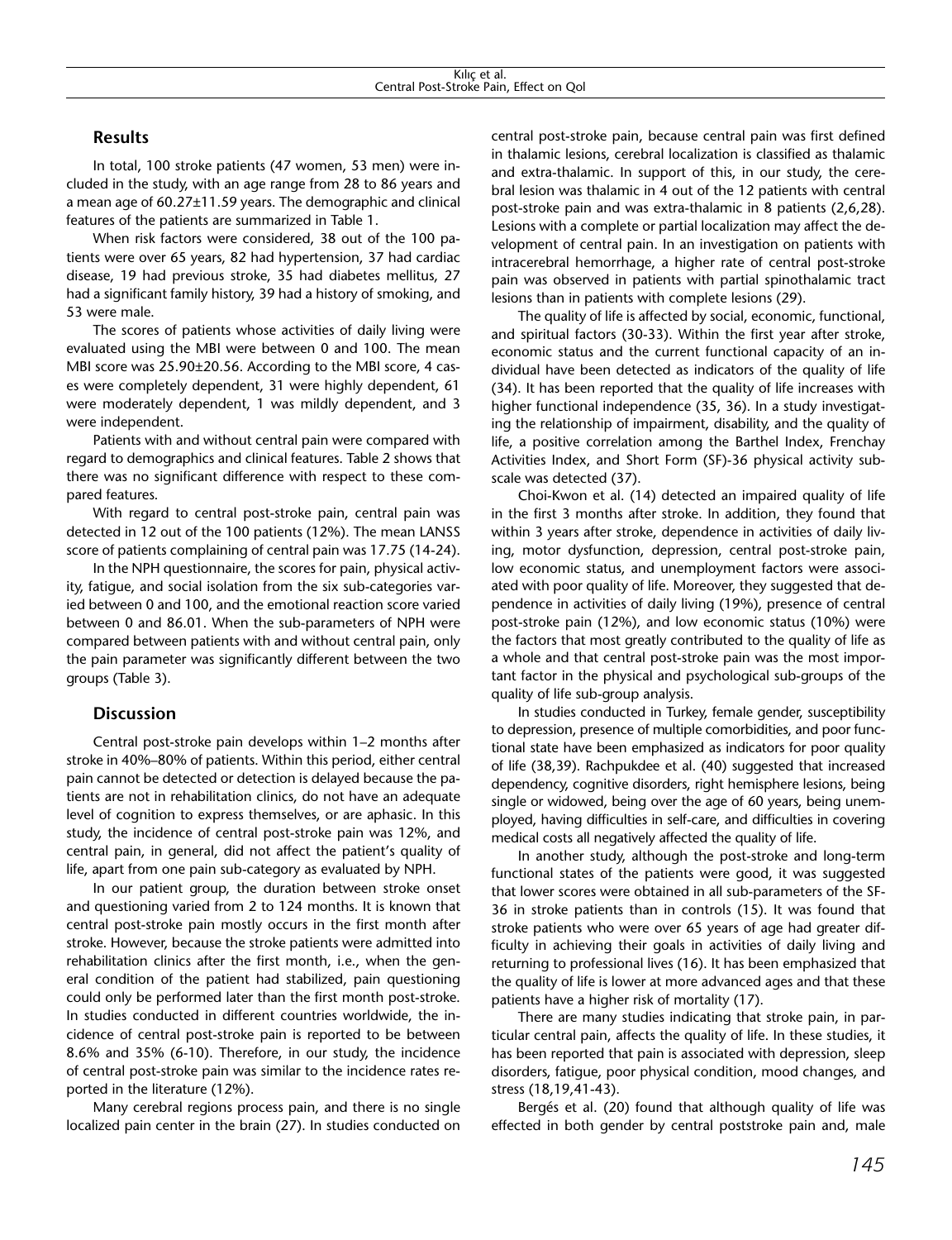## **Results**

In total, 100 stroke patients (47 women, 53 men) were included in the study, with an age range from 28 to 86 years and a mean age of 60.27±11.59 years. The demographic and clinical features of the patients are summarized in Table 1.

When risk factors were considered, 38 out of the 100 patients were over 65 years, 82 had hypertension, 37 had cardiac disease, 19 had previous stroke, 35 had diabetes mellitus, 27 had a significant family history, 39 had a history of smoking, and 53 were male.

The scores of patients whose activities of daily living were evaluated using the MBI were between 0 and 100. The mean MBI score was 25.90±20.56. According to the MBI score, 4 cases were completely dependent, 31 were highly dependent, 61 were moderately dependent, 1 was mildly dependent, and 3 were independent.

Patients with and without central pain were compared with regard to demographics and clinical features. Table 2 shows that there was no significant difference with respect to these compared features.

With regard to central post-stroke pain, central pain was detected in 12 out of the 100 patients (12%). The mean LANSS score of patients complaining of central pain was 17.75 (14-24).

In the NPH questionnaire, the scores for pain, physical activity, fatigue, and social isolation from the six sub-categories varied between 0 and 100, and the emotional reaction score varied between 0 and 86.01. When the sub-parameters of NPH were compared between patients with and without central pain, only the pain parameter was significantly different between the two groups (Table 3).

## **Discussion**

Central post-stroke pain develops within 1–2 months after stroke in 40%–80% of patients. Within this period, either central pain cannot be detected or detection is delayed because the patients are not in rehabilitation clinics, do not have an adequate level of cognition to express themselves, or are aphasic. In this study, the incidence of central post-stroke pain was 12%, and central pain, in general, did not affect the patient's quality of life, apart from one pain sub-category as evaluated by NPH.

In our patient group, the duration between stroke onset and questioning varied from 2 to 124 months. It is known that central post-stroke pain mostly occurs in the first month after stroke. However, because the stroke patients were admitted into rehabilitation clinics after the first month, i.e., when the general condition of the patient had stabilized, pain questioning could only be performed later than the first month post-stroke. In studies conducted in different countries worldwide, the incidence of central post-stroke pain is reported to be between 8.6% and 35% (6-10). Therefore, in our study, the incidence of central post-stroke pain was similar to the incidence rates reported in the literature (12%).

Many cerebral regions process pain, and there is no single localized pain center in the brain (27). In studies conducted on central post-stroke pain, because central pain was first defined in thalamic lesions, cerebral localization is classified as thalamic and extra-thalamic. In support of this, in our study, the cerebral lesion was thalamic in 4 out of the 12 patients with central post-stroke pain and was extra-thalamic in 8 patients (2,6,28). Lesions with a complete or partial localization may affect the development of central pain. In an investigation on patients with intracerebral hemorrhage, a higher rate of central post-stroke pain was observed in patients with partial spinothalamic tract lesions than in patients with complete lesions (29).

The quality of life is affected by social, economic, functional, and spiritual factors (30-33). Within the first year after stroke, economic status and the current functional capacity of an individual have been detected as indicators of the quality of life (34). It has been reported that the quality of life increases with higher functional independence (35, 36). In a study investigating the relationship of impairment, disability, and the quality of life, a positive correlation among the Barthel Index, Frenchay Activities Index, and Short Form (SF)-36 physical activity subscale was detected (37).

Choi-Kwon et al. (14) detected an impaired quality of life in the first 3 months after stroke. In addition, they found that within 3 years after stroke, dependence in activities of daily living, motor dysfunction, depression, central post-stroke pain, low economic status, and unemployment factors were associated with poor quality of life. Moreover, they suggested that dependence in activities of daily living (19%), presence of central post-stroke pain (12%), and low economic status (10%) were the factors that most greatly contributed to the quality of life as a whole and that central post-stroke pain was the most important factor in the physical and psychological sub-groups of the quality of life sub-group analysis.

In studies conducted in Turkey, female gender, susceptibility to depression, presence of multiple comorbidities, and poor functional state have been emphasized as indicators for poor quality of life (38,39). Rachpukdee et al. (40) suggested that increased dependency, cognitive disorders, right hemisphere lesions, being single or widowed, being over the age of 60 years, being unemployed, having difficulties in self-care, and difficulties in covering medical costs all negatively affected the quality of life.

In another study, although the post-stroke and long-term functional states of the patients were good, it was suggested that lower scores were obtained in all sub-parameters of the SF-36 in stroke patients than in controls (15). It was found that stroke patients who were over 65 years of age had greater difficulty in achieving their goals in activities of daily living and returning to professional lives (16). It has been emphasized that the quality of life is lower at more advanced ages and that these patients have a higher risk of mortality (17).

There are many studies indicating that stroke pain, in particular central pain, affects the quality of life. In these studies, it has been reported that pain is associated with depression, sleep disorders, fatigue, poor physical condition, mood changes, and stress (18,19,41-43).

Bergés et al. (20) found that although quality of life was effected in both gender by central poststroke pain and, male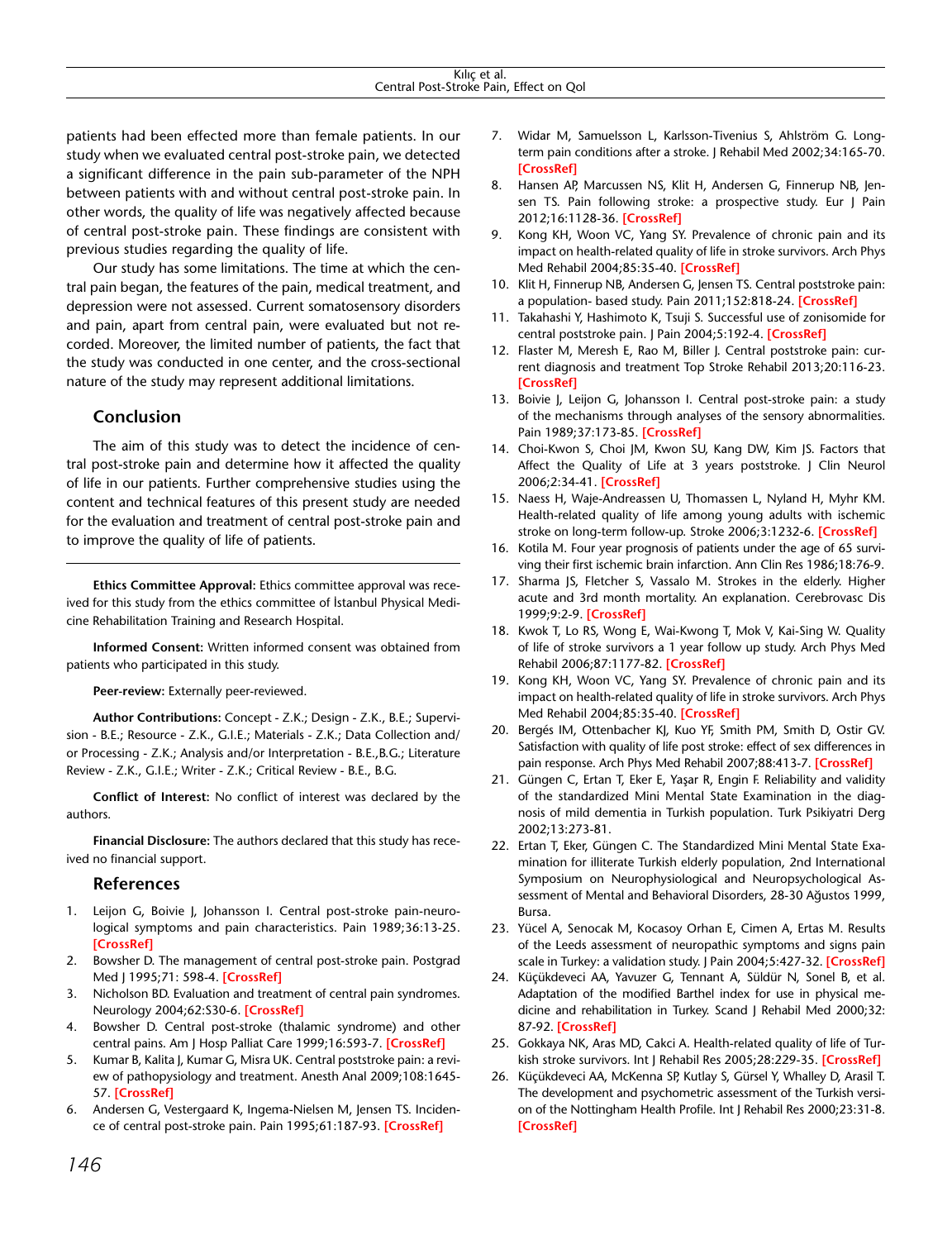patients had been effected more than female patients. In our study when we evaluated central post-stroke pain, we detected a significant difference in the pain sub-parameter of the NPH between patients with and without central post-stroke pain. In other words, the quality of life was negatively affected because of central post-stroke pain. These findings are consistent with previous studies regarding the quality of life.

Our study has some limitations. The time at which the central pain began, the features of the pain, medical treatment, and depression were not assessed. Current somatosensory disorders and pain, apart from central pain, were evaluated but not recorded. Moreover, the limited number of patients, the fact that the study was conducted in one center, and the cross-sectional nature of the study may represent additional limitations.

## **Conclusion**

The aim of this study was to detect the incidence of central post-stroke pain and determine how it affected the quality of life in our patients. Further comprehensive studies using the content and technical features of this present study are needed for the evaluation and treatment of central post-stroke pain and to improve the quality of life of patients.

**Ethics Committee Approval:** Ethics committee approval was received for this study from the ethics committee of İstanbul Physical Medicine Rehabilitation Training and Research Hospital.

**Informed Consent:** Written informed consent was obtained from patients who participated in this study.

**Peer-review:** Externally peer-reviewed.

**Author Contributions:** Concept - Z.K.; Design - Z.K., B.E.; Supervision - B.E.; Resource - Z.K., G.I.E.; Materials - Z.K.; Data Collection and/ or Processing - Z.K.; Analysis and/or Interpretation - B.E.,B.G.; Literature Review - Z.K., G.I.E.; Writer - Z.K.; Critical Review - B.E., B.G.

**Conflict of Interest:** No conflict of interest was declared by the authors.

**Financial Disclosure:** The authors declared that this study has received no financial support.

## **References**

- 1. Leijon G, Boivie J, Johansson I. Central post-stroke pain-neurological symptoms and pain characteristics. Pain 1989;36:13-25. **[\[CrossRef](http://dx.doi.org/10.1016/0304-3959(89)90107-3)]**
- 2. Bowsher D. The management of central post-stroke pain. Postgrad Med J 1995;71: 598-4. **[\[CrossRef\]](http://dx.doi.org/10.1136/pgmj.71.840.598)**
- 3. Nicholson BD. Evaluation and treatment of central pain syndromes. Neurology 2004;62:S30-6. **[\[CrossRef\]](http://dx.doi.org/10.1212/WNL.62.5_suppl_2.S30)**
- 4. Bowsher D. Central post-stroke (thalamic syndrome) and other central pains. Am J Hosp Palliat Care 1999;16:593-7. **[\[CrossRef](http://dx.doi.org/10.1177/104990919901600408)]**
- 5. Kumar B, Kalita J, Kumar G, Misra UK. Central poststroke pain: a review of pathopysiology and treatment. Anesth Anal 2009;108:1645- 57. **[\[CrossRef](http://dx.doi.org/10.1213/ane.0b013e31819d644c)]**
- 6. Andersen G, Vestergaard K, Ingema-Nielsen M, Jensen TS. Incidence of central post-stroke pain. Pain 1995;61:187-93. **[[CrossRef](http://dx.doi.org/10.1016/0304-3959(94)00144-4)]**
- 7. Widar M, Samuelsson L, Karlsson-Tivenius S, Ahlström G. Longterm pain conditions after a stroke. J Rehabil Med 2002;34:165-70. **[\[CrossRef\]](http://dx.doi.org/10.1080/16501970213237)**
- 8. Hansen AP, Marcussen NS, Klit H, Andersen G, Finnerup NB, Jensen TS. Pain following stroke: a prospective study. Eur J Pain 2012;16:1128-36. **[\[CrossRef\]](http://dx.doi.org/10.1002/j.1532-2149.2012.00123.x)**
- 9. Kong KH, Woon VC, Yang SY. Prevalence of chronic pain and its impact on health-related quality of life in stroke survivors. Arch Phys Med Rehabil 2004;85:35-40. **[[CrossRef\]](http://dx.doi.org/10.1016/S0003-9993(03)00369-1)**
- 10. Klit H, Finnerup NB, Andersen G, Jensen TS. Central poststroke pain: a population- based study. Pain 2011;152:818-24. **[[CrossRef](http://dx.doi.org/10.1016/j.pain.2010.12.030)]**
- 11. Takahashi Y, Hashimoto K, Tsuji S. Successful use of zonisomide for central poststroke pain. J Pain 2004;5:192-4. **[\[CrossRef](http://dx.doi.org/10.1016/j.jpain.2004.01.002)]**
- 12. Flaster M, Meresh E, Rao M, Biller J. Central poststroke pain: current diagnosis and treatment Top Stroke Rehabil 2013;20:116-23. **[\[CrossRef\]](http://dx.doi.org/10.1310/tsr2002-116)**
- 13. Boivie J, Leijon G, Johansson I. Central post-stroke pain: a study of the mechanisms through analyses of the sensory abnormalities. Pain 1989;37:173-85. **[\[CrossRef](http://dx.doi.org/10.1016/0304-3959(89)90128-0)]**
- 14. Choi-Kwon S, Choi JM, Kwon SU, Kang DW, Kim JS. Factors that Affect the Quality of Life at 3 years poststroke. J Clin Neurol 2006;2:34-41. **[[CrossRef\]](http://dx.doi.org/10.3988/jcn.2006.2.1.34)**
- 15. Naess H, Waje-Andreassen U, Thomassen L, Nyland H, Myhr KM. Health-related quality of life among young adults with ischemic stroke on long-term follow-up. Stroke 2006;3:1232-6. **[[CrossRef](http://dx.doi.org/10.1161/01.STR.0000217652.42273.02)]**
- 16. Kotila M. Four year prognosis of patients under the age of 65 surviving their first ischemic brain infarction. Ann Clin Res 1986;18:76-9.
- 17. Sharma JS, Fletcher S, Vassalo M. Strokes in the elderly. Higher acute and 3rd month mortality. An explanation. Cerebrovasc Dis 1999;9:2-9. **[\[CrossRef\]](http://dx.doi.org/10.1159/000015889)**
- 18. Kwok T, Lo RS, Wong E, Wai-Kwong T, Mok V, Kai-Sing W. Quality of life of stroke survivors a 1 year follow up study. Arch Phys Med Rehabil 2006;87:1177-82. **[\[CrossRef\]](http://dx.doi.org/10.1016/j.apmr.2006.05.015)**
- 19. Kong KH, Woon VC, Yang SY. Prevalence of chronic pain and its impact on health-related quality of life in stroke survivors. Arch Phys Med Rehabil 2004;85:35-40. **[[CrossRef\]](http://dx.doi.org/10.1016/S0003-9993(03)00369-1)**
- 20. Bergés IM, Ottenbacher KJ, Kuo YF, Smith PM, Smith D, Ostir GV. Satisfaction with quality of life post stroke: effect of sex differences in pain response. Arch Phys Med Rehabil 2007;88:413-7. **[[CrossRef](http://dx.doi.org/10.1016/j.apmr.2006.12.022)]**
- 21. Güngen C, Ertan T, Eker E, Yaşar R, Engin F. Reliability and validity of the standardized Mini Mental State Examination in the diagnosis of mild dementia in Turkish population. Turk Psikiyatri Derg 2002;13:273-81.
- 22. Ertan T, Eker, Güngen C. The Standardized Mini Mental State Examination for illiterate Turkish elderly population, 2nd International Symposium on Neurophysiological and Neuropsychological Assessment of Mental and Behavioral Disorders, 28-30 Ağustos 1999, Bursa.
- 23. Yücel A, Senocak M, Kocasoy Orhan E, Cimen A, Ertas M. Results of the Leeds assessment of neuropathic symptoms and signs pain scale in Turkey: a validation study. J Pain 2004;5:427-32. **[[CrossRef](http://dx.doi.org/10.1016/j.jpain.2004.07.001)]**
- 24. Küçükdeveci AA, Yavuzer G, Tennant A, Süldür N, Sonel B, et al. Adaptation of the modified Barthel index for use in physical medicine and rehabilitation in Turkey. Scand J Rehabil Med 2000;32: 87-92. **[[CrossRef\]](http://dx.doi.org/10.1080/003655000750045604)**
- 25. Gokkaya NK, Aras MD, Cakci A. Health-related quality of life of Turkish stroke survivors. Int J Rehabil Res 2005;28:229-35. **[\[CrossRef](http://dx.doi.org/10.1097/00004356-200509000-00005)]**
- 26. Küçükdeveci AA, McKenna SP, Kutlay S, Gürsel Y, Whalley D, Arasil T. The development and psychometric assessment of the Turkish version of the Nottingham Health Profile. Int J Rehabil Res 2000;23:31-8. **[\[CrossRef\]](http://dx.doi.org/10.1097/00004356-200023010-00004)**